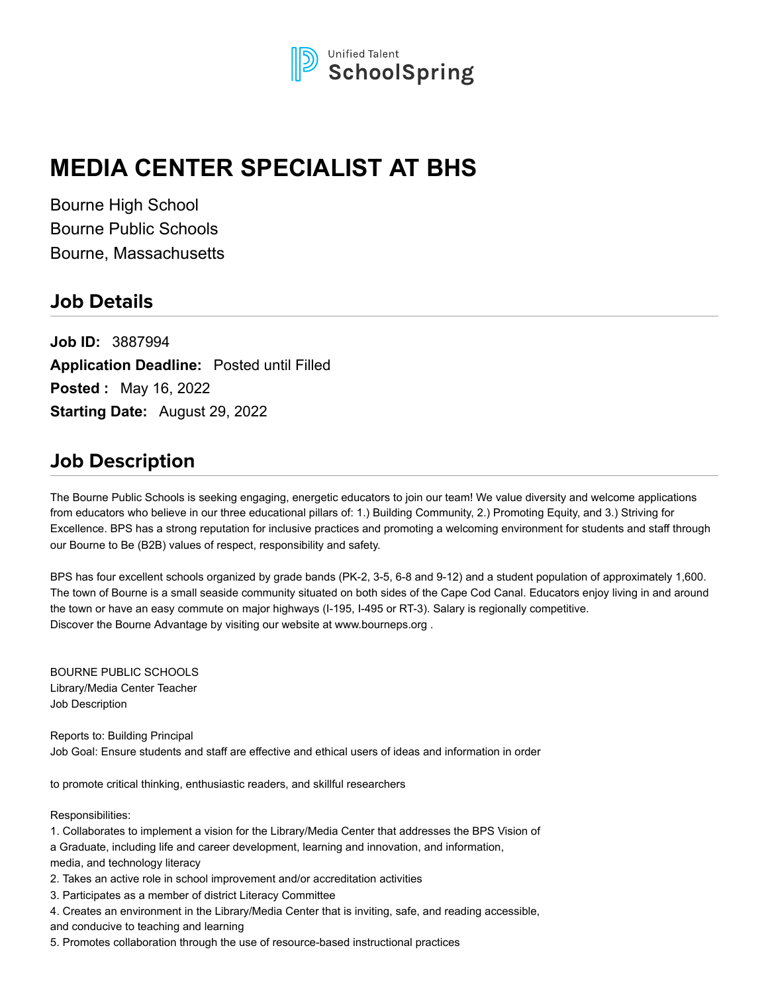

# **MEDIA CENTER SPECIALIST AT BHS**

Bourne High School Bourne Public Schools Bourne, Massachusetts

### **Job Details**

**Job ID:** 3887994 **Application Deadline:** Posted until Filled **Posted :** May 16, 2022 **Starting Date:** August 29, 2022

### **Job Description**

The Bourne Public Schools is seeking engaging, energetic educators to join our team! We value diversity and welcome applications from educators who believe in our three educational pillars of: 1.) Building Community, 2.) Promoting Equity, and 3.) Striving for Excellence. BPS has a strong reputation for inclusive practices and promoting a welcoming environment for students and staff through our Bourne to Be (B2B) values of respect, responsibility and safety.

BPS has four excellent schools organized by grade bands (PK-2, 3-5, 6-8 and 9-12) and a student population of approximately 1,600. The town of Bourne is a small seaside community situated on both sides of the Cape Cod Canal. Educators enjoy living in and around the town or have an easy commute on major highways (I-195, I-495 or RT-3). Salary is regionally competitive. Discover the Bourne Advantage by visiting our website at www.bourneps.org .

BOURNE PUBLIC SCHOOLS Library/Media Center Teacher Job Description

Reports to: Building Principal Job Goal: Ensure students and staff are effective and ethical users of ideas and information in order

to promote critical thinking, enthusiastic readers, and skillful researchers

Responsibilities:

1. Collaborates to implement a vision for the Library/Media Center that addresses the BPS Vision of a Graduate, including life and career development, learning and innovation, and information, media, and technology literacy

2. Takes an active role in school improvement and/or accreditation activities

3. Participates as a member of district Literacy Committee

4. Creates an environment in the Library/Media Center that is inviting, safe, and reading accessible,

and conducive to teaching and learning

5. Promotes collaboration through the use of resource-based instructional practices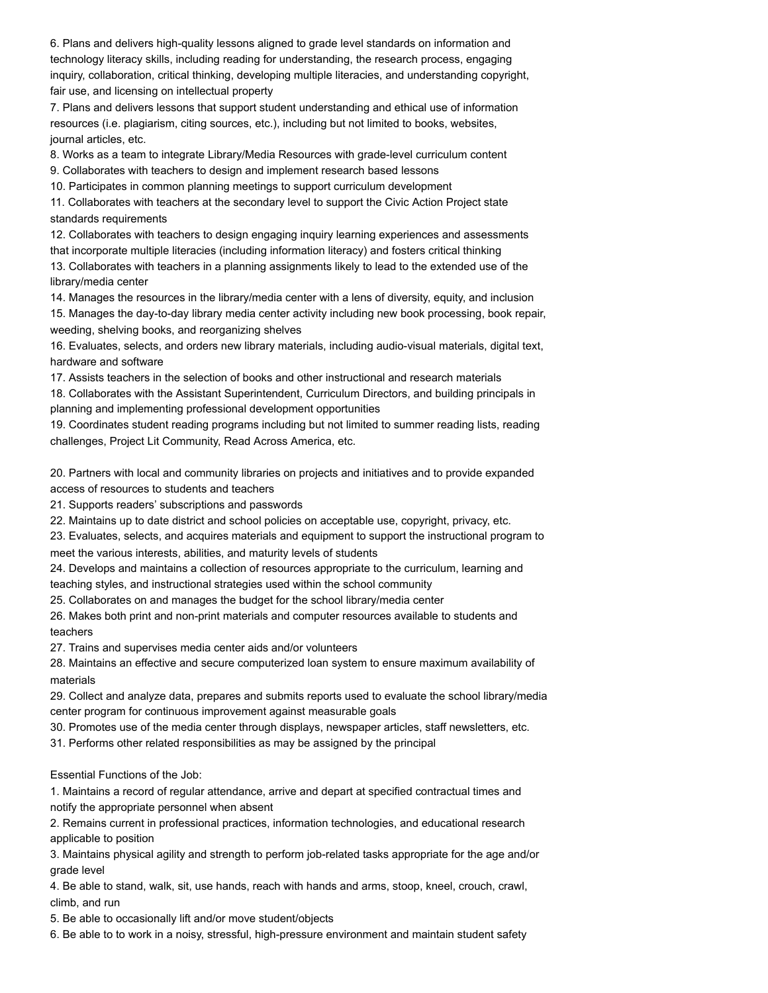6. Plans and delivers high-quality lessons aligned to grade level standards on information and technology literacy skills, including reading for understanding, the research process, engaging inquiry, collaboration, critical thinking, developing multiple literacies, and understanding copyright, fair use, and licensing on intellectual property

7. Plans and delivers lessons that support student understanding and ethical use of information resources (i.e. plagiarism, citing sources, etc.), including but not limited to books, websites, journal articles, etc.

8. Works as a team to integrate Library/Media Resources with grade-level curriculum content

9. Collaborates with teachers to design and implement research based lessons

10. Participates in common planning meetings to support curriculum development

11. Collaborates with teachers at the secondary level to support the Civic Action Project state standards requirements

12. Collaborates with teachers to design engaging inquiry learning experiences and assessments that incorporate multiple literacies (including information literacy) and fosters critical thinking 13. Collaborates with teachers in a planning assignments likely to lead to the extended use of the library/media center

14. Manages the resources in the library/media center with a lens of diversity, equity, and inclusion

15. Manages the day-to-day library media center activity including new book processing, book repair, weeding, shelving books, and reorganizing shelves

16. Evaluates, selects, and orders new library materials, including audio-visual materials, digital text, hardware and software

17. Assists teachers in the selection of books and other instructional and research materials

18. Collaborates with the Assistant Superintendent, Curriculum Directors, and building principals in planning and implementing professional development opportunities

19. Coordinates student reading programs including but not limited to summer reading lists, reading challenges, Project Lit Community, Read Across America, etc.

20. Partners with local and community libraries on projects and initiatives and to provide expanded access of resources to students and teachers

21. Supports readers' subscriptions and passwords

22. Maintains up to date district and school policies on acceptable use, copyright, privacy, etc.

23. Evaluates, selects, and acquires materials and equipment to support the instructional program to meet the various interests, abilities, and maturity levels of students

24. Develops and maintains a collection of resources appropriate to the curriculum, learning and teaching styles, and instructional strategies used within the school community

25. Collaborates on and manages the budget for the school library/media center

26. Makes both print and non-print materials and computer resources available to students and teachers

27. Trains and supervises media center aids and/or volunteers

28. Maintains an effective and secure computerized loan system to ensure maximum availability of materials

29. Collect and analyze data, prepares and submits reports used to evaluate the school library/media center program for continuous improvement against measurable goals

30. Promotes use of the media center through displays, newspaper articles, staff newsletters, etc.

31. Performs other related responsibilities as may be assigned by the principal

Essential Functions of the Job:

1. Maintains a record of regular attendance, arrive and depart at specified contractual times and notify the appropriate personnel when absent

2. Remains current in professional practices, information technologies, and educational research applicable to position

3. Maintains physical agility and strength to perform job-related tasks appropriate for the age and/or grade level

4. Be able to stand, walk, sit, use hands, reach with hands and arms, stoop, kneel, crouch, crawl, climb, and run

5. Be able to occasionally lift and/or move student/objects

6. Be able to to work in a noisy, stressful, high-pressure environment and maintain student safety